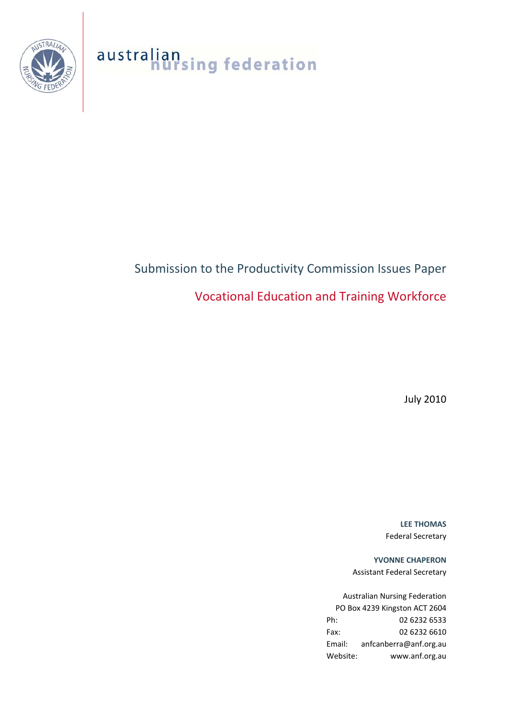

australian<br>nursing federation

# Submission to the Productivity Commission Issues Paper Vocational Education and Training Workforce

July 2010

**LEE THOMAS** Federal Secretary

**YVONNE CHAPERON** Assistant Federal Secretary

Australian Nursing Federation PO Box 4239 Kingston ACT 2604 Ph: 02 6232 6533 Fax: 02 6232 6610 Email: anfcanberra@anf.org.au Website: www.anf.org.au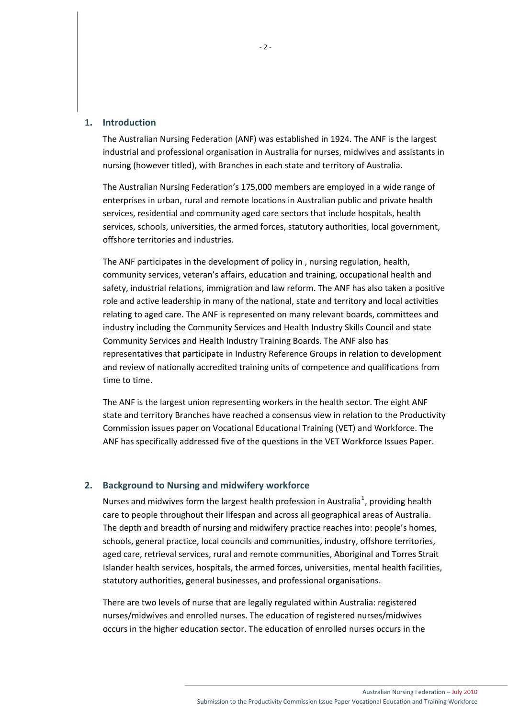#### **1. Introduction**

The Australian Nursing Federation (ANF) was established in 1924. The ANF is the largest industrial and professional organisation in Australia for nurses, midwives and assistants in nursing (however titled), with Branches in each state and territory of Australia.

The Australian Nursing Federation's 175,000 members are employed in a wide range of enterprises in urban, rural and remote locations in Australian public and private health services, residential and community aged care sectors that include hospitals, health services, schools, universities, the armed forces, statutory authorities, local government, offshore territories and industries.

The ANF participates in the development of policy in , nursing regulation, health, community services, veteran's affairs, education and training, occupational health and safety, industrial relations, immigration and law reform. The ANF has also taken a positive role and active leadership in many of the national, state and territory and local activities relating to aged care. The ANF is represented on many relevant boards, committees and industry including the Community Services and Health Industry Skills Council and state Community Services and Health Industry Training Boards. The ANF also has representatives that participate in Industry Reference Groups in relation to development and review of nationally accredited training units of competence and qualifications from time to time.

The ANF is the largest union representing workers in the health sector. The eight ANF state and territory Branches have reached a consensus view in relation to the Productivity Commission issues paper on Vocational Educational Training (VET) and Workforce. The ANF has specifically addressed five of the questions in the VET Workforce Issues Paper.

# **2. Background to Nursing and midwifery workforce**

Nurses and midwives form the largest health profession in Australia<sup>[1](#page-11-0)</sup>, providing health care to people throughout their lifespan and across all geographical areas of Australia. The depth and breadth of nursing and midwifery practice reaches into: people's homes, schools, general practice, local councils and communities, industry, offshore territories, aged care, retrieval services, rural and remote communities, Aboriginal and Torres Strait Islander health services, hospitals, the armed forces, universities, mental health facilities, statutory authorities, general businesses, and professional organisations.

There are two levels of nurse that are legally regulated within Australia: registered nurses/midwives and enrolled nurses. The education of registered nurses/midwives occurs in the higher education sector. The education of enrolled nurses occurs in the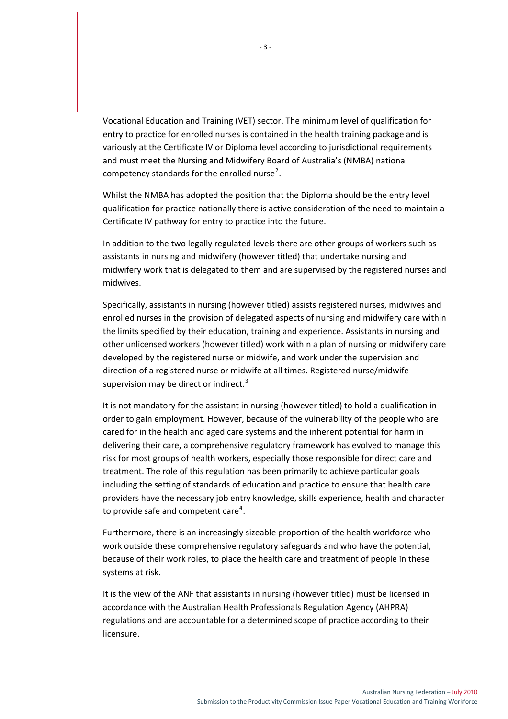Vocational Education and Training (VET) sector. The minimum level of qualification for entry to practice for enrolled nurses is contained in the health training package and is variously at the Certificate IV or Diploma level according to jurisdictional requirements and must meet the Nursing and Midwifery Board of Australia's (NMBA) national competency standards for the enrolled nurse<sup>[2](#page-11-1)</sup>.

Whilst the NMBA has adopted the position that the Diploma should be the entry level qualification for practice nationally there is active consideration of the need to maintain a Certificate IV pathway for entry to practice into the future.

In addition to the two legally regulated levels there are other groups of workers such as assistants in nursing and midwifery (however titled) that undertake nursing and midwifery work that is delegated to them and are supervised by the registered nurses and midwives.

Specifically, assistants in nursing (however titled) assists registered nurses, midwives and enrolled nurses in the provision of delegated aspects of nursing and midwifery care within the limits specified by their education, training and experience. Assistants in nursing and other unlicensed workers (however titled) work within a plan of nursing or midwifery care developed by the registered nurse or midwife, and work under the supervision and direction of a registered nurse or midwife at all times. Registered nurse/midwife supervision may be direct or indirect. $3$ 

It is not mandatory for the assistant in nursing (however titled) to hold a qualification in order to gain employment. However, because of the vulnerability of the people who are cared for in the health and aged care systems and the inherent potential for harm in delivering their care, a comprehensive regulatory framework has evolved to manage this risk for most groups of health workers, especially those responsible for direct care and treatment. The role of this regulation has been primarily to achieve particular goals including the setting of standards of education and practice to ensure that health care providers have the necessary job entry knowledge, skills experience, health and character to provide safe and competent care<sup>[4](#page-11-1)</sup>.

Furthermore, there is an increasingly sizeable proportion of the health workforce who work outside these comprehensive regulatory safeguards and who have the potential, because of their work roles, to place the health care and treatment of people in these systems at risk.

It is the view of the ANF that assistants in nursing (however titled) must be licensed in accordance with the Australian Health Professionals Regulation Agency (AHPRA) regulations and are accountable for a determined scope of practice according to their licensure.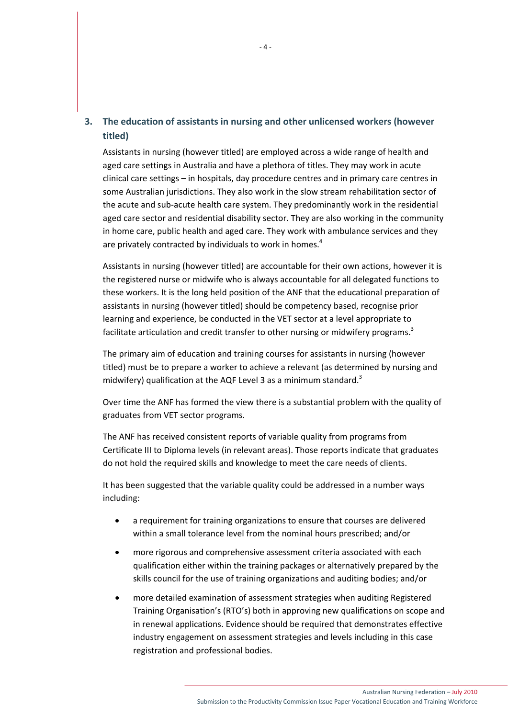# **3. The education of assistants in nursing and other unlicensed workers (however titled)**

Assistants in nursing (however titled) are employed across a wide range of health and aged care settings in Australia and have a plethora of titles. They may work in acute clinical care settings – in hospitals, day procedure centres and in primary care centres in some Australian jurisdictions. They also work in the slow stream rehabilitation sector of the acute and sub‐acute health care system. They predominantly work in the residential aged care sector and residential disability sector. They are also working in the community in home care, public health and aged care. They work with ambulance services and they are privately contracted by individuals to work in homes.<sup>4</sup>

Assistants in nursing (however titled) are accountable for their own actions, however it is the registered nurse or midwife who is always accountable for all delegated functions to these workers. It is the long held position of the ANF that the educational preparation of assistants in nursing (however titled) should be competency based, recognise prior learning and experience, be conducted in the VET sector at a level appropriate to facilitate articulation and credit transfer to other nursing or midwifery programs.<sup>3</sup>

The primary aim of education and training courses for assistants in nursing (however titled) must be to prepare a worker to achieve a relevant (as determined by nursing and midwifery) qualification at the AQF Level 3 as a minimum standard. $3$ 

Over time the ANF has formed the view there is a substantial problem with the quality of graduates from VET sector programs.

The ANF has received consistent reports of variable quality from programs from Certificate III to Diploma levels (in relevant areas). Those reports indicate that graduates do not hold the required skills and knowledge to meet the care needs of clients.

It has been suggested that the variable quality could be addressed in a number ways including:

- a requirement for training organizations to ensure that courses are delivered within a small tolerance level from the nominal hours prescribed; and/or
- more rigorous and comprehensive assessment criteria associated with each qualification either within the training packages or alternatively prepared by the skills council for the use of training organizations and auditing bodies; and/or
- more detailed examination of assessment strategies when auditing Registered Training Organisation's (RTO's) both in approving new qualifications on scope and in renewal applications. Evidence should be required that demonstrates effective industry engagement on assessment strategies and levels including in this case registration and professional bodies.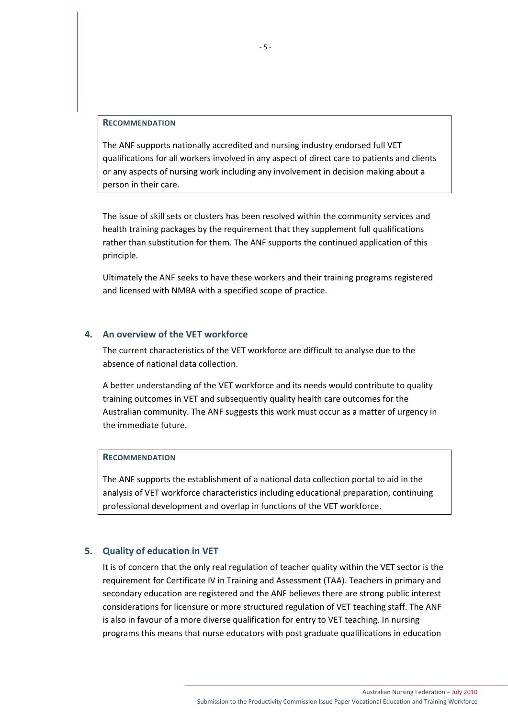#### **RECOMMENDATION**

The ANF supports nationally accredited and nursing industry endorsed full VET qualifications for all workers involved in any aspect of direct care to patients and clients or any aspects of nursing work including any involvement in decision making about a person in their care.

The issue of skill sets or clusters has been resolved within the community services and health training packages by the requirement that they supplement full qualifications rather than substitution for them. The ANF supports the continued application of this principle.

Ultimately the ANF seeks to have these workers and their training programs registered and licensed with NMBA with a specified scope of practice.

# **4. An overview of the VET workforce**

The current characteristics of the VET workforce are difficult to analyse due to the absence of national data collection.

A better understanding of the VET workforce and its needs would contribute to quality training outcomes in VET and subsequently quality health care outcomes for the Australian community. The ANF suggests this work must occur as a matter of urgency in the immediate future.

## **RECOMMENDATION**

The ANF supports the establishment of a national data collection portal to aid in the analysis of VET workforce characteristics including educational preparation, continuing professional development and overlap in functions of the VET workforce.

#### **5. Quality of education in VET**

It is of concern that the only real regulation of teacher quality within the VET sector is the requirement for Certificate IV in Training and Assessment (TAA). Teachers in primary and secondary education are registered and the ANF believes there are strong public interest considerations for licensure or more structured regulation of VET teaching staff. The ANF is also in favour of a more diverse qualification for entry to VET teaching. In nursing programs this means that nurse educators with post graduate qualifications in education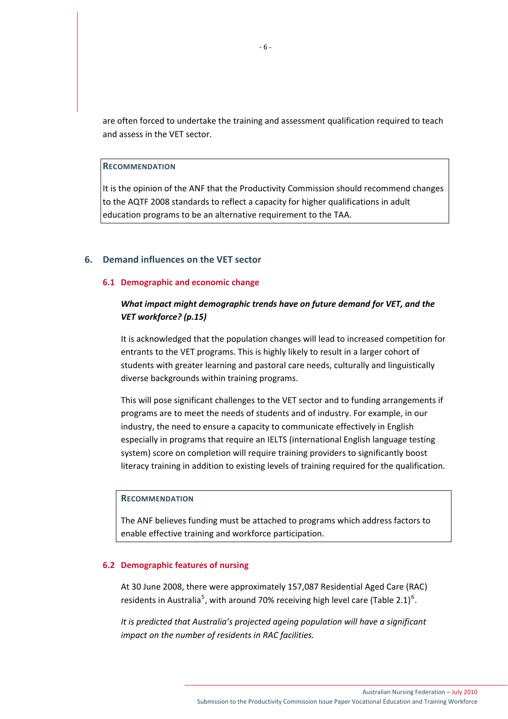are often forced to undertake the training and assessment qualification required to teach and assess in the VET sector.

**RECOMMENDATION**

It is the opinion of the ANF that the Productivity Commission should recommend changes to the AQTF 2008 standards to reflect a capacity for higher qualifications in adult education programs to be an alternative requirement to the TAA.

## **6. Demand influences on the VET sector**

#### **6.1 Demographic and economic change**

# *What impact might demographic trends have on future demand for VET, and the VET workforce? (p.15)*

It is acknowledged that the population changes will lead to increased competition for entrants to the VET programs. This is highly likely to result in a larger cohort of students with greater learning and pastoral care needs, culturally and linguistically diverse backgrounds within training programs.

This will pose significant challenges to the VET sector and to funding arrangements if programs are to meet the needs of students and of industry. For example, in our industry, the need to ensure a capacity to communicate effectively in English especially in programs that require an IELTS (international English language testing system) score on completion will require training providers to significantly boost literacy training in addition to existing levels of training required for the qualification.

## **RECOMMENDATION**

The ANF believes funding must be attached to programs which address factors to enable effective training and workforce participation.

#### **6.2 Demographic features of nursing**

At 30 June 2008, there were approximately 157,087 Residential Aged Care (RAC) residents in Australia<sup>[5](#page-11-1)</sup>, with around 70% receiving high level care (Table 2.1)<sup>[6](#page-11-1)</sup>.

*It is predicted that Australia's projected ageing population will have a significant impact on the number of residents in RAC facilities.*

Submission to the Productivity Commission Issue Paper Vocational Education and Training Workforce

Australian Nursing Federation – July 2010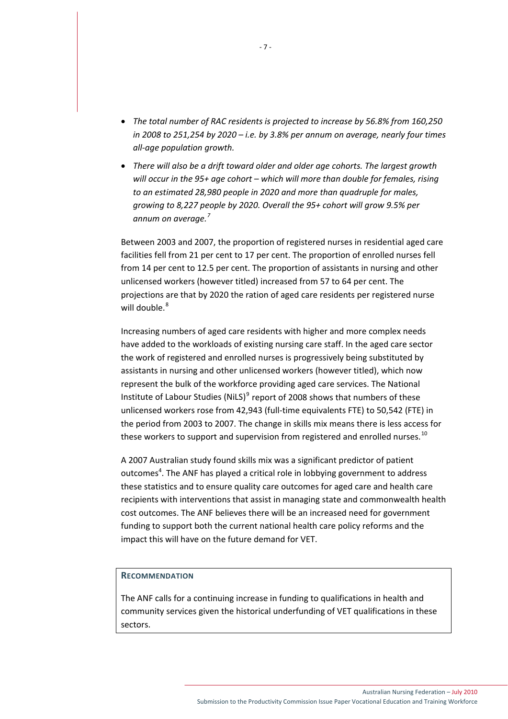- *The total number of RAC residents is projected to increase by 56.8% from 160,250 in 2008 to 251,254 by 2020 – i.e. by 3.8% per annum on average, nearly four times all‐age population growth.*
- *There will also be a drift toward older and older age cohorts. The largest growth will occur in the 95+ age cohort – which will more than double for females, rising to an estimated 28,980 people in 2020 and more than quadruple for males, growing to 8,227 people by 2020. Overall the 95+ cohort will grow 9.5% per annum on average.[7](#page-11-1)*

Between 2003 and 2007, the proportion of registered nurses in residential aged care facilities fell from 21 per cent to 17 per cent. The proportion of enrolled nurses fell from 14 per cent to 12.5 per cent. The proportion of assistants in nursing and other unlicensed workers (however titled) increased from 57 to 64 per cent. The projections are that by 2020 the ration of aged care residents per registered nurse will double.<sup>[8](#page-11-1)</sup>

Increasing numbers of aged care residents with higher and more complex needs have added to the workloads of existing nursing care staff. In the aged care sector the work of registered and enrolled nurses is progressively being substituted by assistants in nursing and other unlicensed workers (however titled), which now represent the bulk of the workforce providing aged care services. The National Institute of Labour Studies (NiLS)<sup>[9](#page-11-1)</sup> report of 2008 shows that numbers of these unlicensed workers rose from 42,943 (full-time equivalents FTE) to 50,542 (FTE) in the period from 2003 to 2007. The change in skills mix means there is less access for these workers to support and supervision from registered and enrolled nurses.<sup>[10](#page-11-1)</sup>

A 2007 Australian study found skills mix was a significant predictor of patient outcomes<sup>4</sup>. The ANF has played a critical role in lobbying government to address these statistics and to ensure quality care outcomes for aged care and health care recipients with interventions that assist in managing state and commonwealth health cost outcomes. The ANF believes there will be an increased need for government funding to support both the current national health care policy reforms and the impact this will have on the future demand for VET.

# **RECOMMENDATION**

The ANF calls for a continuing increase in funding to qualifications in health and community services given the historical underfunding of VET qualifications in these sectors.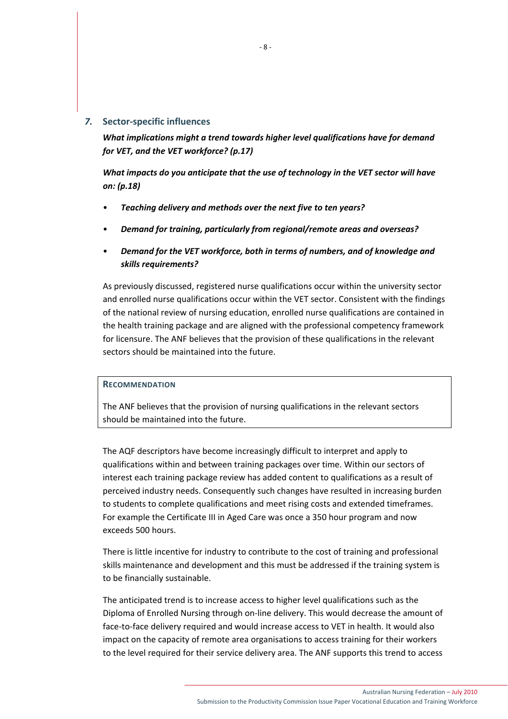## *7.* **Sector‐specific influences**

*What implications might a trend towards higher level qualifications have for demand for VET, and the VET workforce? (p.17)*

*What impacts do you anticipate that the use of technology in the VET sector will have on: (p.18)*

- *Teaching delivery and methods over the next five to ten years?*
- *Demand for training, particularly from regional/remote areas and overseas?*
- *Demand for the VET workforce, both in terms of numbers, and of knowledge and skills requirements?*

As previously discussed, registered nurse qualifications occur within the university sector and enrolled nurse qualifications occur within the VET sector. Consistent with the findings of the national review of nursing education, enrolled nurse qualifications are contained in the health training package and are aligned with the professional competency framework for licensure. The ANF believes that the provision of these qualifications in the relevant sectors should be maintained into the future.

# **RECOMMENDATION**

The ANF believes that the provision of nursing qualifications in the relevant sectors should be maintained into the future.

The AQF descriptors have become increasingly difficult to interpret and apply to qualifications within and between training packages over time. Within our sectors of interest each training package review has added content to qualifications as a result of perceived industry needs. Consequently such changes have resulted in increasing burden to students to complete qualifications and meet rising costs and extended timeframes. For example the Certificate III in Aged Care was once a 350 hour program and now exceeds 500 hours.

There is little incentive for industry to contribute to the cost of training and professional skills maintenance and development and this must be addressed if the training system is to be financially sustainable.

The anticipated trend is to increase access to higher level qualifications such as the Diploma of Enrolled Nursing through on‐line delivery. This would decrease the amount of face-to-face delivery required and would increase access to VET in health. It would also impact on the capacity of remote area organisations to access training for their workers to the level required for their service delivery area. The ANF supports this trend to access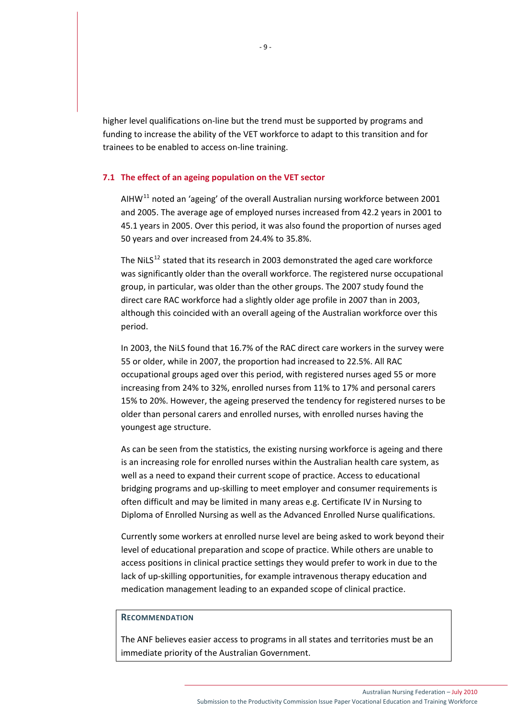higher level qualifications on-line but the trend must be supported by programs and funding to increase the ability of the VET workforce to adapt to this transition and for trainees to be enabled to access on‐line training.

#### **7.1 The effect of an ageing population on the VET sector**

AIHW $^{11}$  $^{11}$  $^{11}$  noted an 'ageing' of the overall Australian nursing workforce between 2001 and 2005. The average age of employed nurses increased from 42.2 years in 2001 to 45.1 years in 2005. Over this period, it was also found the proportion of nurses aged 50 years and over increased from 24.4% to 35.8%.

The NiLS $^{12}$  $^{12}$  $^{12}$  stated that its research in 2003 demonstrated the aged care workforce was significantly older than the overall workforce. The registered nurse occupational group, in particular, was older than the other groups. The 2007 study found the direct care RAC workforce had a slightly older age profile in 2007 than in 2003, although this coincided with an overall ageing of the Australian workforce over this period.

In 2003, the NiLS found that 16.7% of the RAC direct care workers in the survey were 55 or older, while in 2007, the proportion had increased to 22.5%. All RAC occupational groups aged over this period, with registered nurses aged 55 or more increasing from 24% to 32%, enrolled nurses from 11% to 17% and personal carers 15% to 20%. However, the ageing preserved the tendency for registered nurses to be older than personal carers and enrolled nurses, with enrolled nurses having the youngest age structure.

As can be seen from the statistics, the existing nursing workforce is ageing and there is an increasing role for enrolled nurses within the Australian health care system, as well as a need to expand their current scope of practice. Access to educational bridging programs and up‐skilling to meet employer and consumer requirements is often difficult and may be limited in many areas e.g. Certificate IV in Nursing to Diploma of Enrolled Nursing as well as the Advanced Enrolled Nurse qualifications.

Currently some workers at enrolled nurse level are being asked to work beyond their level of educational preparation and scope of practice. While others are unable to access positions in clinical practice settings they would prefer to work in due to the lack of up‐skilling opportunities, for example intravenous therapy education and medication management leading to an expanded scope of clinical practice.

#### **RECOMMENDATION**

The ANF believes easier access to programs in all states and territories must be an immediate priority of the Australian Government.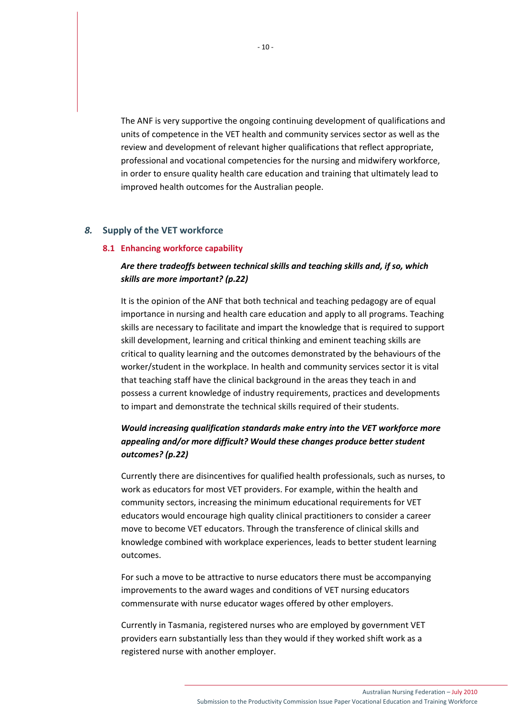The ANF is very supportive the ongoing continuing development of qualifications and units of competence in the VET health and community services sector as well as the review and development of relevant higher qualifications that reflect appropriate, professional and vocational competencies for the nursing and midwifery workforce, in order to ensure quality health care education and training that ultimately lead to improved health outcomes for the Australian people.

# *8.* **Supply of the VET workforce**

#### **8.1 Enhancing workforce capability**

# *Are there tradeoffs between technical skills and teaching skills and, if so, which skills are more important? (p.22)*

It is the opinion of the ANF that both technical and teaching pedagogy are of equal importance in nursing and health care education and apply to all programs. Teaching skills are necessary to facilitate and impart the knowledge that is required to support skill development, learning and critical thinking and eminent teaching skills are critical to quality learning and the outcomes demonstrated by the behaviours of the worker/student in the workplace. In health and community services sector it is vital that teaching staff have the clinical background in the areas they teach in and possess a current knowledge of industry requirements, practices and developments to impart and demonstrate the technical skills required of their students.

# *Would increasing qualification standards make entry into the VET workforce more appealing and/or more difficult? Would these changes produce better student outcomes? (p.22)*

Currently there are disincentives for qualified health professionals, such as nurses, to work as educators for most VET providers. For example, within the health and community sectors, increasing the minimum educational requirements for VET educators would encourage high quality clinical practitioners to consider a career move to become VET educators. Through the transference of clinical skills and knowledge combined with workplace experiences, leads to better student learning outcomes.

For such a move to be attractive to nurse educators there must be accompanying improvements to the award wages and conditions of VET nursing educators commensurate with nurse educator wages offered by other employers.

Currently in Tasmania, registered nurses who are employed by government VET providers earn substantially less than they would if they worked shift work as a registered nurse with another employer.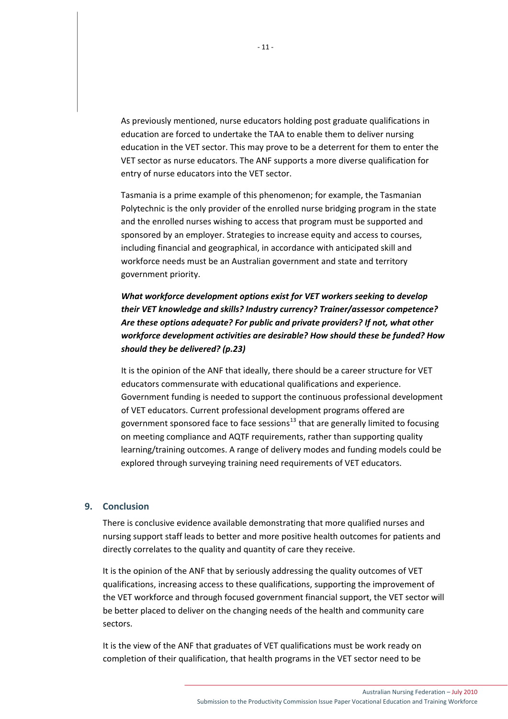As previously mentioned, nurse educators holding post graduate qualifications in education are forced to undertake the TAA to enable them to deliver nursing education in the VET sector. This may prove to be a deterrent for them to enter the VET sector as nurse educators. The ANF supports a more diverse qualification for entry of nurse educators into the VET sector.

Tasmania is a prime example of this phenomenon; for example, the Tasmanian Polytechnic is the only provider of the enrolled nurse bridging program in the state and the enrolled nurses wishing to access that program must be supported and sponsored by an employer. Strategies to increase equity and access to courses, including financial and geographical, in accordance with anticipated skill and workforce needs must be an Australian government and state and territory government priority.

# *What workforce development options exist for VET workers seeking to develop their VET knowledge and skills? Industry currency? Trainer/assessor competence? Are these options adequate? For public and private providers? If not, what other workforce development activities are desirable? How should these be funded? How should they be delivered? (p.23)*

It is the opinion of the ANF that ideally, there should be a career structure for VET educators commensurate with educational qualifications and experience. Government funding is needed to support the continuous professional development of VET educators. Current professional development programs offered are government sponsored face to face sessions $13$  that are generally limited to focusing on meeting compliance and AQTF requirements, rather than supporting quality learning/training outcomes. A range of delivery modes and funding models could be explored through surveying training need requirements of VET educators.

# **9. Conclusion**

There is conclusive evidence available demonstrating that more qualified nurses and nursing support staff leads to better and more positive health outcomes for patients and directly correlates to the quality and quantity of care they receive.

It is the opinion of the ANF that by seriously addressing the quality outcomes of VET qualifications, increasing access to these qualifications, supporting the improvement of the VET workforce and through focused government financial support, the VET sector will be better placed to deliver on the changing needs of the health and community care sectors.

It is the view of the ANF that graduates of VET qualifications must be work ready on completion of their qualification, that health programs in the VET sector need to be